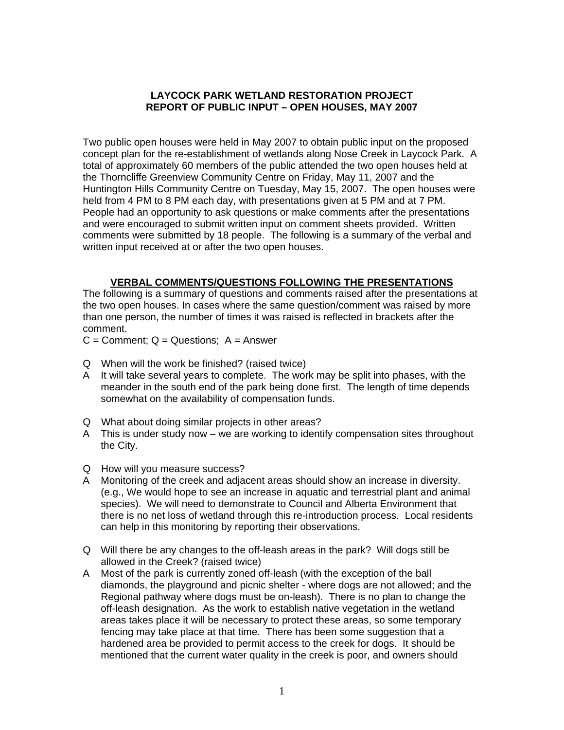### **LAYCOCK PARK WETLAND RESTORATION PROJECT REPORT OF PUBLIC INPUT – OPEN HOUSES, MAY 2007**

Two public open houses were held in May 2007 to obtain public input on the proposed concept plan for the re-establishment of wetlands along Nose Creek in Laycock Park. A total of approximately 60 members of the public attended the two open houses held at the Thorncliffe Greenview Community Centre on Friday, May 11, 2007 and the Huntington Hills Community Centre on Tuesday, May 15, 2007. The open houses were held from 4 PM to 8 PM each day, with presentations given at 5 PM and at 7 PM. People had an opportunity to ask questions or make comments after the presentations and were encouraged to submit written input on comment sheets provided. Written comments were submitted by 18 people. The following is a summary of the verbal and written input received at or after the two open houses.

### **VERBAL COMMENTS/QUESTIONS FOLLOWING THE PRESENTATIONS**

The following is a summary of questions and comments raised after the presentations at the two open houses. In cases where the same question/comment was raised by more than one person, the number of times it was raised is reflected in brackets after the comment.

 $C =$  Comment;  $Q =$  Questions;  $A =$  Answer

- Q When will the work be finished? (raised twice)
- A It will take several years to complete. The work may be split into phases, with the meander in the south end of the park being done first. The length of time depends somewhat on the availability of compensation funds.
- Q What about doing similar projects in other areas?
- A This is under study now we are working to identify compensation sites throughout the City.
- Q How will you measure success?
- A Monitoring of the creek and adjacent areas should show an increase in diversity. (e.g., We would hope to see an increase in aquatic and terrestrial plant and animal species). We will need to demonstrate to Council and Alberta Environment that there is no net loss of wetland through this re-introduction process. Local residents can help in this monitoring by reporting their observations.
- Q Will there be any changes to the off-leash areas in the park? Will dogs still be allowed in the Creek? (raised twice)
- A Most of the park is currently zoned off-leash (with the exception of the ball diamonds, the playground and picnic shelter - where dogs are not allowed; and the Regional pathway where dogs must be on-leash). There is no plan to change the off-leash designation. As the work to establish native vegetation in the wetland areas takes place it will be necessary to protect these areas, so some temporary fencing may take place at that time. There has been some suggestion that a hardened area be provided to permit access to the creek for dogs. It should be mentioned that the current water quality in the creek is poor, and owners should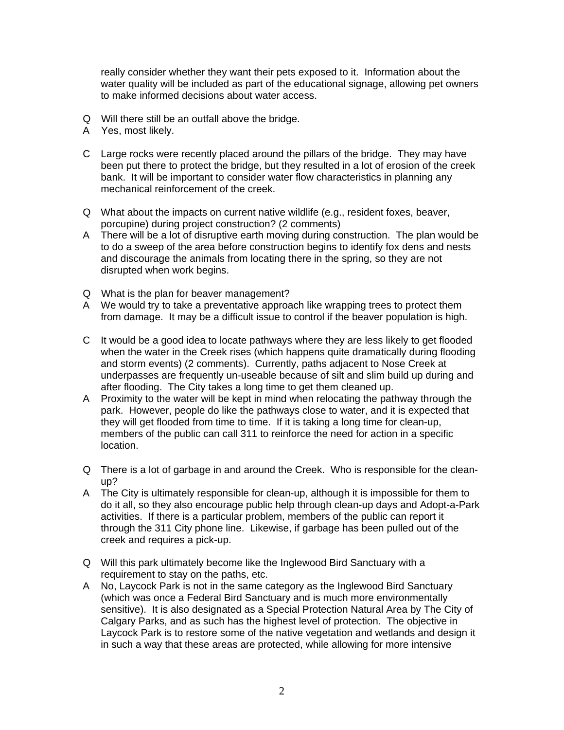really consider whether they want their pets exposed to it. Information about the water quality will be included as part of the educational signage, allowing pet owners to make informed decisions about water access.

- Q Will there still be an outfall above the bridge.
- A Yes, most likely.
- C Large rocks were recently placed around the pillars of the bridge. They may have been put there to protect the bridge, but they resulted in a lot of erosion of the creek bank. It will be important to consider water flow characteristics in planning any mechanical reinforcement of the creek.
- Q What about the impacts on current native wildlife (e.g., resident foxes, beaver, porcupine) during project construction? (2 comments)
- A There will be a lot of disruptive earth moving during construction. The plan would be to do a sweep of the area before construction begins to identify fox dens and nests and discourage the animals from locating there in the spring, so they are not disrupted when work begins.
- Q What is the plan for beaver management?
- A We would try to take a preventative approach like wrapping trees to protect them from damage. It may be a difficult issue to control if the beaver population is high.
- C It would be a good idea to locate pathways where they are less likely to get flooded when the water in the Creek rises (which happens quite dramatically during flooding and storm events) (2 comments). Currently, paths adjacent to Nose Creek at underpasses are frequently un-useable because of silt and slim build up during and after flooding. The City takes a long time to get them cleaned up.
- A Proximity to the water will be kept in mind when relocating the pathway through the park. However, people do like the pathways close to water, and it is expected that they will get flooded from time to time. If it is taking a long time for clean-up, members of the public can call 311 to reinforce the need for action in a specific location.
- Q There is a lot of garbage in and around the Creek. Who is responsible for the cleanup?
- A The City is ultimately responsible for clean-up, although it is impossible for them to do it all, so they also encourage public help through clean-up days and Adopt-a-Park activities. If there is a particular problem, members of the public can report it through the 311 City phone line. Likewise, if garbage has been pulled out of the creek and requires a pick-up.
- Q Will this park ultimately become like the Inglewood Bird Sanctuary with a requirement to stay on the paths, etc.
- A No, Laycock Park is not in the same category as the Inglewood Bird Sanctuary (which was once a Federal Bird Sanctuary and is much more environmentally sensitive). It is also designated as a Special Protection Natural Area by The City of Calgary Parks, and as such has the highest level of protection. The objective in Laycock Park is to restore some of the native vegetation and wetlands and design it in such a way that these areas are protected, while allowing for more intensive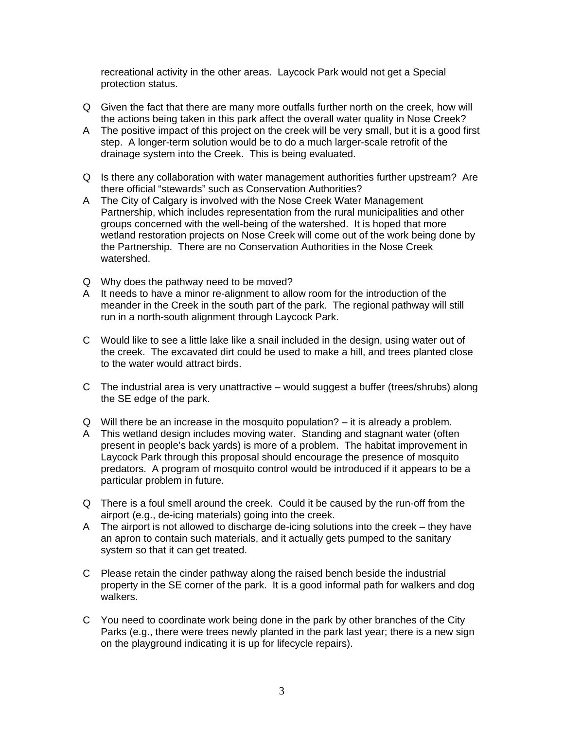recreational activity in the other areas. Laycock Park would not get a Special protection status.

- Q Given the fact that there are many more outfalls further north on the creek, how will the actions being taken in this park affect the overall water quality in Nose Creek?
- A The positive impact of this project on the creek will be very small, but it is a good first step. A longer-term solution would be to do a much larger-scale retrofit of the drainage system into the Creek. This is being evaluated.
- Q Is there any collaboration with water management authorities further upstream? Are there official "stewards" such as Conservation Authorities?
- A The City of Calgary is involved with the Nose Creek Water Management Partnership, which includes representation from the rural municipalities and other groups concerned with the well-being of the watershed. It is hoped that more wetland restoration projects on Nose Creek will come out of the work being done by the Partnership. There are no Conservation Authorities in the Nose Creek watershed.
- Q Why does the pathway need to be moved?
- A It needs to have a minor re-alignment to allow room for the introduction of the meander in the Creek in the south part of the park. The regional pathway will still run in a north-south alignment through Laycock Park.
- C Would like to see a little lake like a snail included in the design, using water out of the creek. The excavated dirt could be used to make a hill, and trees planted close to the water would attract birds.
- C The industrial area is very unattractive would suggest a buffer (trees/shrubs) along the SE edge of the park.
- Q Will there be an increase in the mosquito population? it is already a problem.
- A This wetland design includes moving water. Standing and stagnant water (often present in people's back yards) is more of a problem. The habitat improvement in Laycock Park through this proposal should encourage the presence of mosquito predators. A program of mosquito control would be introduced if it appears to be a particular problem in future.
- Q There is a foul smell around the creek. Could it be caused by the run-off from the airport (e.g., de-icing materials) going into the creek.
- A The airport is not allowed to discharge de-icing solutions into the creek they have an apron to contain such materials, and it actually gets pumped to the sanitary system so that it can get treated.
- C Please retain the cinder pathway along the raised bench beside the industrial property in the SE corner of the park. It is a good informal path for walkers and dog walkers.
- C You need to coordinate work being done in the park by other branches of the City Parks (e.g., there were trees newly planted in the park last year; there is a new sign on the playground indicating it is up for lifecycle repairs).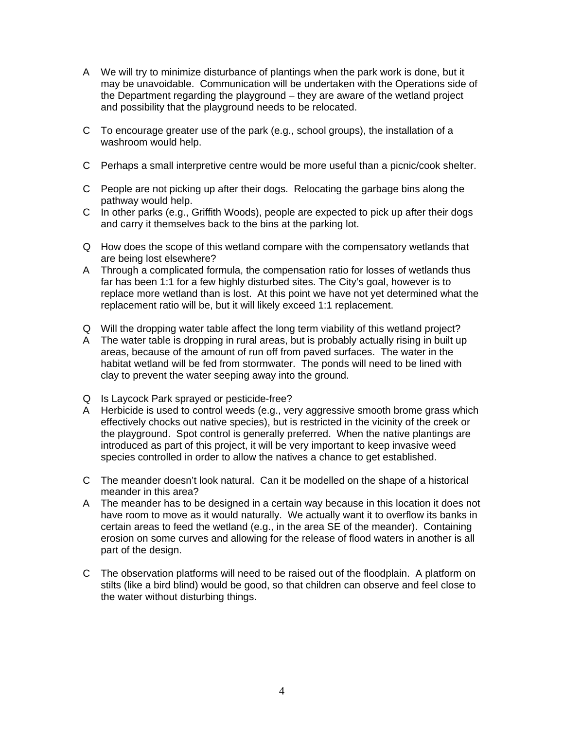- A We will try to minimize disturbance of plantings when the park work is done, but it may be unavoidable. Communication will be undertaken with the Operations side of the Department regarding the playground – they are aware of the wetland project and possibility that the playground needs to be relocated.
- C To encourage greater use of the park (e.g., school groups), the installation of a washroom would help.
- C Perhaps a small interpretive centre would be more useful than a picnic/cook shelter.
- C People are not picking up after their dogs. Relocating the garbage bins along the pathway would help.
- C In other parks (e.g., Griffith Woods), people are expected to pick up after their dogs and carry it themselves back to the bins at the parking lot.
- Q How does the scope of this wetland compare with the compensatory wetlands that are being lost elsewhere?
- A Through a complicated formula, the compensation ratio for losses of wetlands thus far has been 1:1 for a few highly disturbed sites. The City's goal, however is to replace more wetland than is lost. At this point we have not yet determined what the replacement ratio will be, but it will likely exceed 1:1 replacement.
- Q Will the dropping water table affect the long term viability of this wetland project?
- A The water table is dropping in rural areas, but is probably actually rising in built up areas, because of the amount of run off from paved surfaces. The water in the habitat wetland will be fed from stormwater. The ponds will need to be lined with clay to prevent the water seeping away into the ground.
- Q Is Laycock Park sprayed or pesticide-free?
- A Herbicide is used to control weeds (e.g., very aggressive smooth brome grass which effectively chocks out native species), but is restricted in the vicinity of the creek or the playground. Spot control is generally preferred. When the native plantings are introduced as part of this project, it will be very important to keep invasive weed species controlled in order to allow the natives a chance to get established.
- C The meander doesn't look natural. Can it be modelled on the shape of a historical meander in this area?
- A The meander has to be designed in a certain way because in this location it does not have room to move as it would naturally. We actually want it to overflow its banks in certain areas to feed the wetland (e.g., in the area SE of the meander). Containing erosion on some curves and allowing for the release of flood waters in another is all part of the design.
- C The observation platforms will need to be raised out of the floodplain. A platform on stilts (like a bird blind) would be good, so that children can observe and feel close to the water without disturbing things.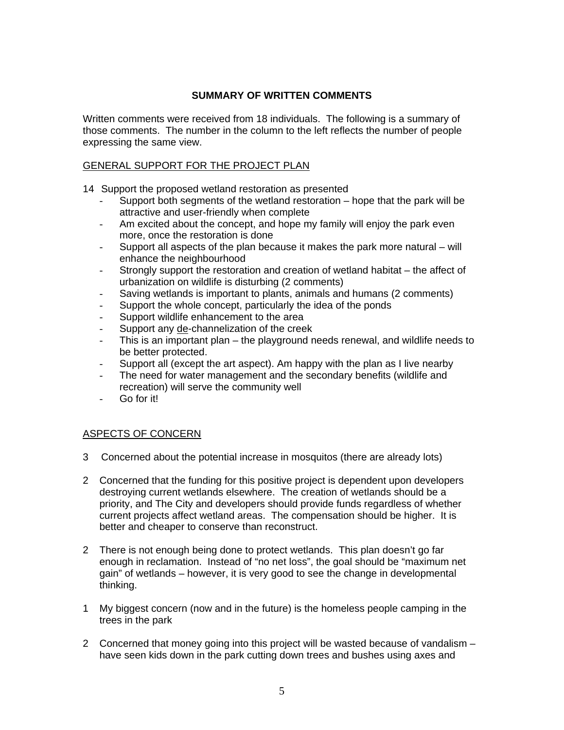# **SUMMARY OF WRITTEN COMMENTS**

Written comments were received from 18 individuals. The following is a summary of those comments. The number in the column to the left reflects the number of people expressing the same view.

## GENERAL SUPPORT FOR THE PROJECT PLAN

- 14 Support the proposed wetland restoration as presented
	- Support both segments of the wetland restoration hope that the park will be attractive and user-friendly when complete
	- Am excited about the concept, and hope my family will enjoy the park even more, once the restoration is done
	- Support all aspects of the plan because it makes the park more natural will enhance the neighbourhood
	- Strongly support the restoration and creation of wetland habitat the affect of urbanization on wildlife is disturbing (2 comments)
	- Saving wetlands is important to plants, animals and humans (2 comments)
	- Support the whole concept, particularly the idea of the ponds
	- Support wildlife enhancement to the area
	- Support any de-channelization of the creek
	- This is an important plan the playground needs renewal, and wildlife needs to be better protected.
	- Support all (except the art aspect). Am happy with the plan as I live nearby
	- The need for water management and the secondary benefits (wildlife and recreation) will serve the community well
	- Go for it!

## ASPECTS OF CONCERN

- 3 Concerned about the potential increase in mosquitos (there are already lots)
- 2 Concerned that the funding for this positive project is dependent upon developers destroying current wetlands elsewhere. The creation of wetlands should be a priority, and The City and developers should provide funds regardless of whether current projects affect wetland areas. The compensation should be higher. It is better and cheaper to conserve than reconstruct.
- 2 There is not enough being done to protect wetlands. This plan doesn't go far enough in reclamation. Instead of "no net loss", the goal should be "maximum net gain" of wetlands – however, it is very good to see the change in developmental thinking.
- 1 My biggest concern (now and in the future) is the homeless people camping in the trees in the park
- 2 Concerned that money going into this project will be wasted because of vandalism have seen kids down in the park cutting down trees and bushes using axes and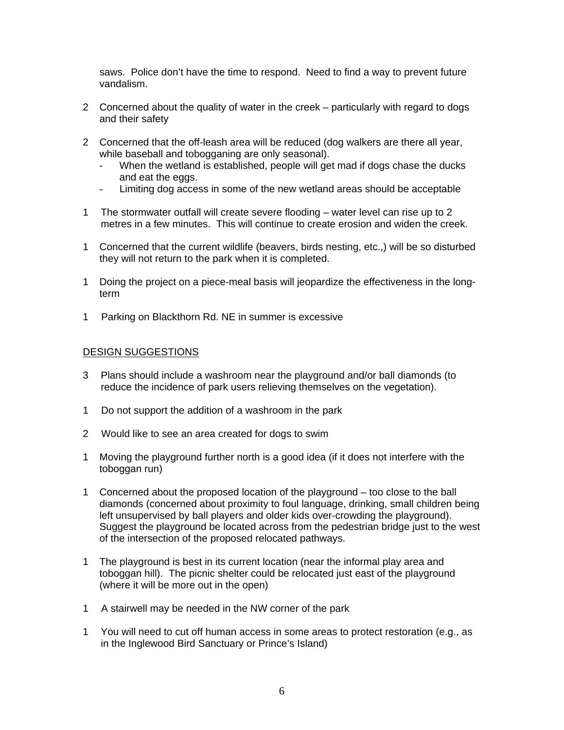saws. Police don't have the time to respond. Need to find a way to prevent future vandalism.

- 2 Concerned about the quality of water in the creek particularly with regard to dogs and their safety
- 2 Concerned that the off-leash area will be reduced (dog walkers are there all year, while baseball and tobogganing are only seasonal).
	- When the wetland is established, people will get mad if dogs chase the ducks and eat the eggs.
	- Limiting dog access in some of the new wetland areas should be acceptable
- 1 The stormwater outfall will create severe flooding water level can rise up to 2 metres in a few minutes. This will continue to create erosion and widen the creek.
- 1 Concerned that the current wildlife (beavers, birds nesting, etc.,) will be so disturbed they will not return to the park when it is completed.
- 1 Doing the project on a piece-meal basis will jeopardize the effectiveness in the longterm
- 1 Parking on Blackthorn Rd. NE in summer is excessive

#### DESIGN SUGGESTIONS

- 3 Plans should include a washroom near the playground and/or ball diamonds (to reduce the incidence of park users relieving themselves on the vegetation).
- 1 Do not support the addition of a washroom in the park
- 2 Would like to see an area created for dogs to swim
- 1 Moving the playground further north is a good idea (if it does not interfere with the toboggan run)
- 1 Concerned about the proposed location of the playground too close to the ball diamonds (concerned about proximity to foul language, drinking, small children being left unsupervised by ball players and older kids over-crowding the playground). Suggest the playground be located across from the pedestrian bridge just to the west of the intersection of the proposed relocated pathways.
- 1 The playground is best in its current location (near the informal play area and toboggan hill). The picnic shelter could be relocated just east of the playground (where it will be more out in the open)
- 1 A stairwell may be needed in the NW corner of the park
- 1 You will need to cut off human access in some areas to protect restoration (e.g., as in the Inglewood Bird Sanctuary or Prince's Island)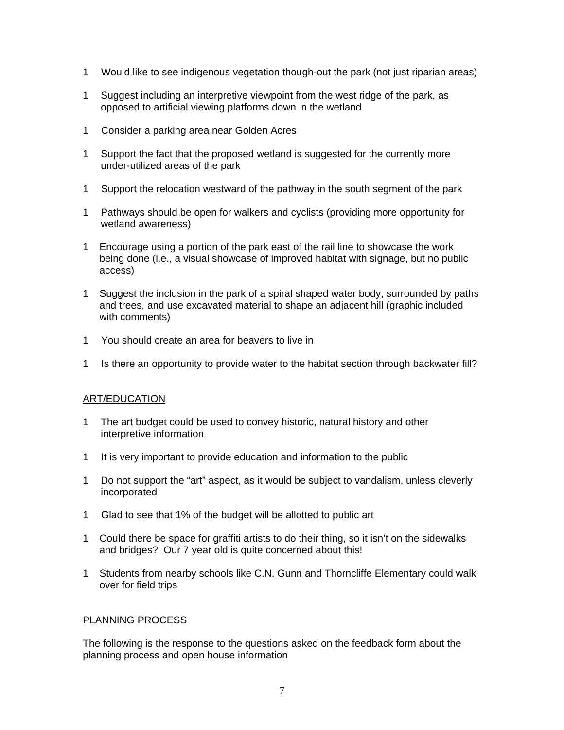- 1 Would like to see indigenous vegetation though-out the park (not just riparian areas)
- 1 Suggest including an interpretive viewpoint from the west ridge of the park, as opposed to artificial viewing platforms down in the wetland
- 1 Consider a parking area near Golden Acres
- 1 Support the fact that the proposed wetland is suggested for the currently more under-utilized areas of the park
- 1 Support the relocation westward of the pathway in the south segment of the park
- 1 Pathways should be open for walkers and cyclists (providing more opportunity for wetland awareness)
- 1 Encourage using a portion of the park east of the rail line to showcase the work being done (i.e., a visual showcase of improved habitat with signage, but no public access)
- 1 Suggest the inclusion in the park of a spiral shaped water body, surrounded by paths and trees, and use excavated material to shape an adjacent hill (graphic included with comments)
- 1 You should create an area for beavers to live in
- 1 Is there an opportunity to provide water to the habitat section through backwater fill?

## ART/EDUCATION

- 1 The art budget could be used to convey historic, natural history and other interpretive information
- 1 It is very important to provide education and information to the public
- 1 Do not support the "art" aspect, as it would be subject to vandalism, unless cleverly incorporated
- 1 Glad to see that 1% of the budget will be allotted to public art
- 1 Could there be space for graffiti artists to do their thing, so it isn't on the sidewalks and bridges? Our 7 year old is quite concerned about this!
- 1 Students from nearby schools like C.N. Gunn and Thorncliffe Elementary could walk over for field trips

## PLANNING PROCESS

The following is the response to the questions asked on the feedback form about the planning process and open house information